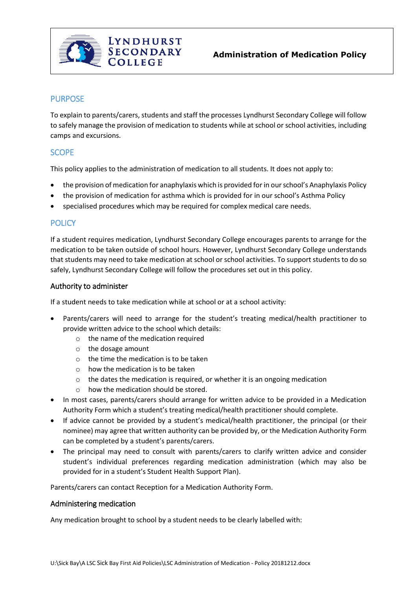

# PURPOSE

To explain to parents/carers, students and staff the processes Lyndhurst Secondary College will follow to safely manage the provision of medication to students while at school or school activities, including camps and excursions.

# **SCOPE**

This policy applies to the administration of medication to all students. It does not apply to:

- the provision of medication for anaphylaxis which is provided for in our school's Anaphylaxis Policy
- the provision of medication for asthma which is provided for in our school's Asthma Policy
- specialised procedures which may be required for complex medical care needs.

## **POLICY**

If a student requires medication, Lyndhurst Secondary College encourages parents to arrange for the medication to be taken outside of school hours. However, Lyndhurst Secondary College understands that students may need to take medication at school or school activities. To support students to do so safely, Lyndhurst Secondary College will follow the procedures set out in this policy.

#### Authority to administer

If a student needs to take medication while at school or at a school activity:

- Parents/carers will need to arrange for the student's treating medical/health practitioner to provide written advice to the school which details:
	- o the name of the medication required
	- o the dosage amount
	- $\circ$  the time the medication is to be taken
	- o how the medication is to be taken
	- o the dates the medication is required, or whether it is an ongoing medication
	- $\circ$  how the medication should be stored.
- In most cases, parents/carers should arrange for written advice to be provided in a Medication Authority Form which a student's treating medical/health practitioner should complete.
- If advice cannot be provided by a student's medical/health practitioner, the principal (or their nominee) may agree that written authority can be provided by, or the Medication Authority Form can be completed by a student's parents/carers.
- The principal may need to consult with parents/carers to clarify written advice and consider student's individual preferences regarding medication administration (which may also be provided for in a student's Student Health Support Plan).

Parents/carers can contact Reception for a Medication Authority Form.

#### Administering medication

Any medication brought to school by a student needs to be clearly labelled with: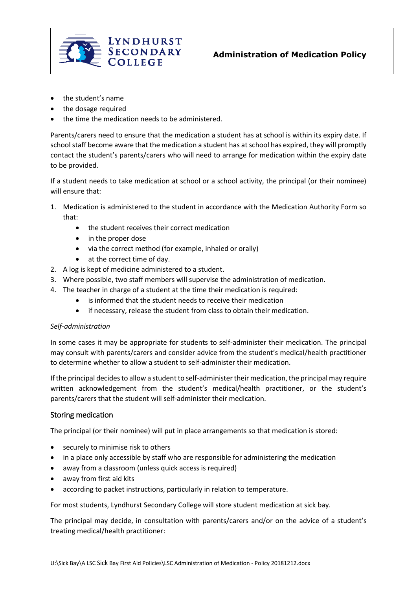

- the student's name
- the dosage required
- the time the medication needs to be administered.

Parents/carers need to ensure that the medication a student has at school is within its expiry date. If school staff become aware that the medication a student has at school has expired, they will promptly contact the student's parents/carers who will need to arrange for medication within the expiry date to be provided.

If a student needs to take medication at school or a school activity, the principal (or their nominee) will ensure that:

- 1. Medication is administered to the student in accordance with the Medication Authority Form so that:
	- the student receives their correct medication
	- in the proper dose
	- via the correct method (for example, inhaled or orally)
	- at the correct time of day.
- 2. A log is kept of medicine administered to a student.
- 3. Where possible, two staff members will supervise the administration of medication.
- 4. The teacher in charge of a student at the time their medication is required:
	- is informed that the student needs to receive their medication
	- if necessary, release the student from class to obtain their medication.

#### *Self-administration*

In some cases it may be appropriate for students to self-administer their medication. The principal may consult with parents/carers and consider advice from the student's medical/health practitioner to determine whether to allow a student to self-administer their medication.

If the principal decides to allow a student to self-administer their medication, the principal may require written acknowledgement from the student's medical/health practitioner, or the student's parents/carers that the student will self-administer their medication.

#### Storing medication

The principal (or their nominee) will put in place arrangements so that medication is stored:

- securely to minimise risk to others
- in a place only accessible by staff who are responsible for administering the medication
- away from a classroom (unless quick access is required)
- away from first aid kits
- according to packet instructions, particularly in relation to temperature.

For most students, Lyndhurst Secondary College will store student medication at sick bay.

The principal may decide, in consultation with parents/carers and/or on the advice of a student's treating medical/health practitioner: